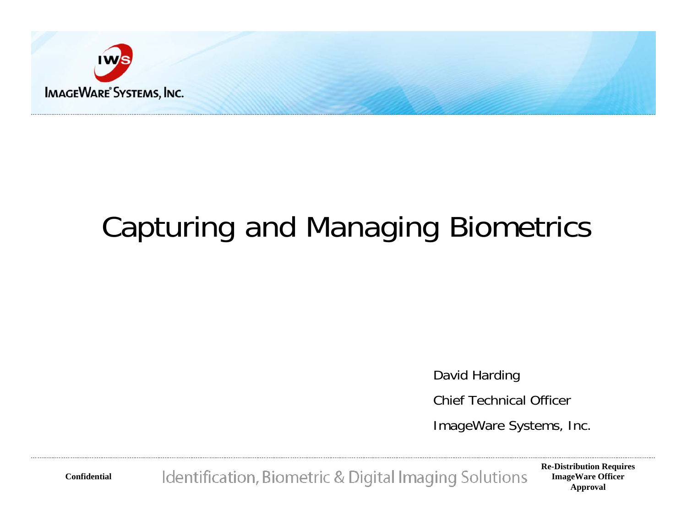

# Capturing and Managing Biometrics

David Harding

Chief Technical Officer

ImageWare Systems, Inc.

Identification, Biometric & Digital Imaging Solutions

**Re-Distribution Requires ImageWare Officer Approval**

**Confidential**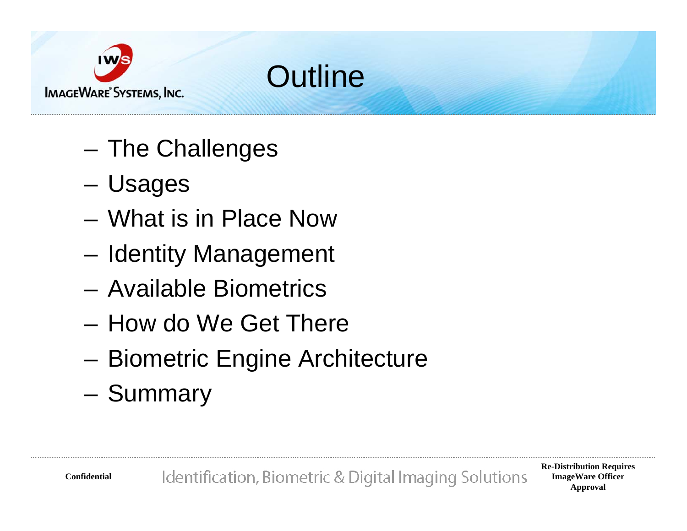



- – $-$  The Challenges
- –Usages
- What is in Place Now
- –– Identity Management
- Available Biometrics
- How do We Get There
- –– Biometric Engine Architecture
- –– Summary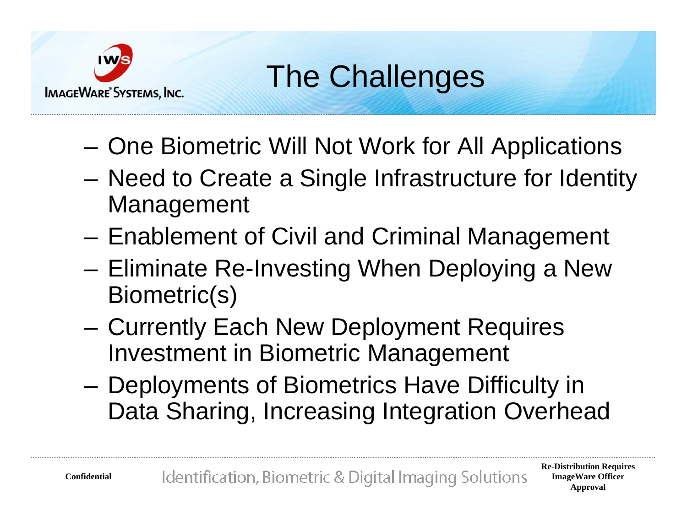

The Challenges

- –- One Biometric Will Not Work for All Applications
- – Need to Create a Single Infrastructure for Identity Management
- –– Enablement of Civil and Criminal Management
- –– Eliminate Re-Investing When Deploying a New Biometric(s)
- –- Currently Each New Deployment Requires Investment in Biometric Management
- – Deployments of Biometrics Have Difficulty in Data Sharing, Increasing Integration Overhead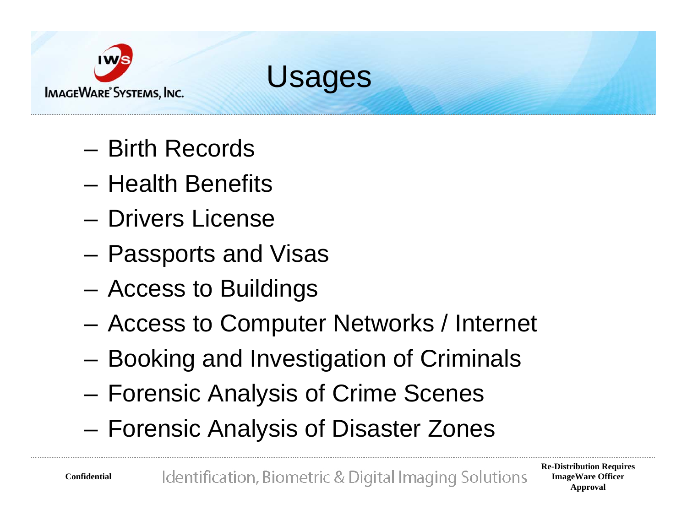



- Birth Records
- Health Benefits
- Drivers License
- – $-$  Passports and Visas
- –Access to Buildings
- –Access to Computer Networks / Internet
- –Booking and Investigation of Criminals
- –Forensic Analysis of Crime Scenes
- –Forensic Analysis of Disaster Zones

**Confidential**

Identification, Biometric & Digital Imaging Solutions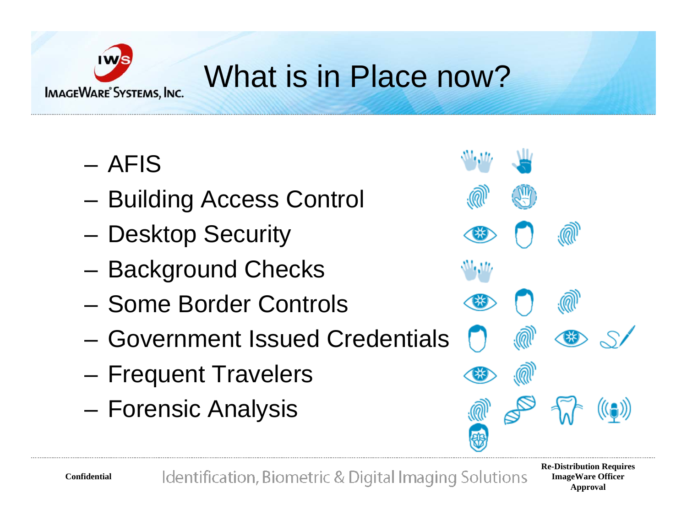

# What is in Place now?

- AFIS
- –Building Access Control
- –– Desktop Security
- –– Background Checks
- Some Border Controls
- Government Issued Credentials
- –– Frequent Travelers
- –Forensic Analysis



**Re-Distribution Requires ImageWare Officer Approval**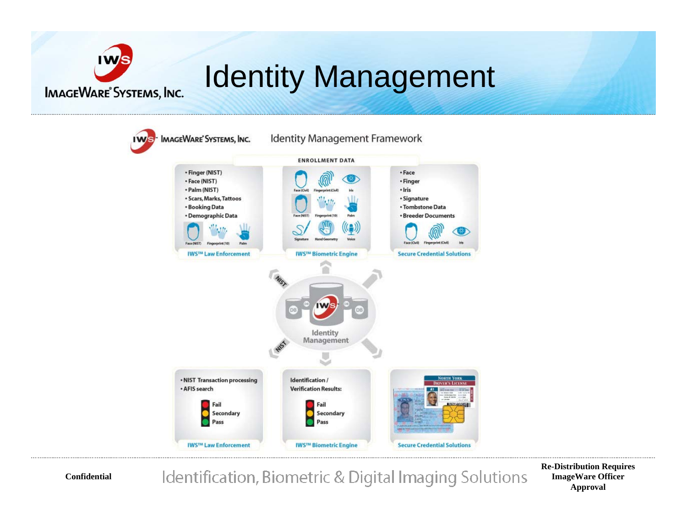# Identity Management



**Re-Distribution Requires ImageWare Officer Approval**

**Confidential**

**IMAGEWARE**<sup>®</sup> SYSTEMS, INC.

Identification, Biometric & Digital Imaging Solutions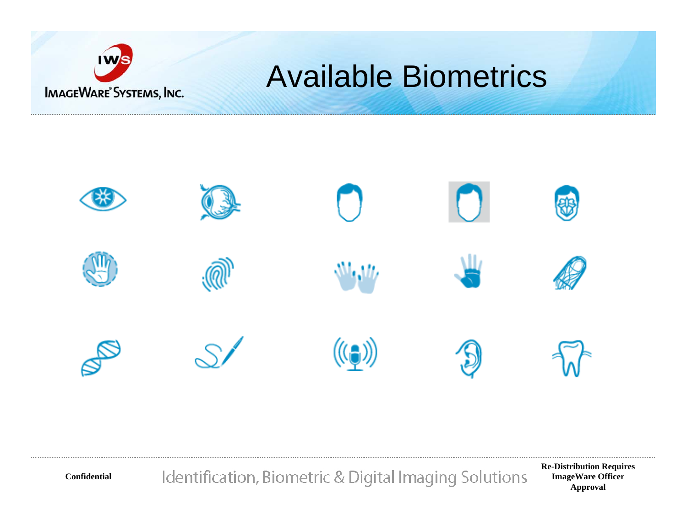

**Confidential**

#### Available Biometrics



Identification, Biometric & Digital Imaging Solutions

**Re-Distribution Requires ImageWare Officer Approval**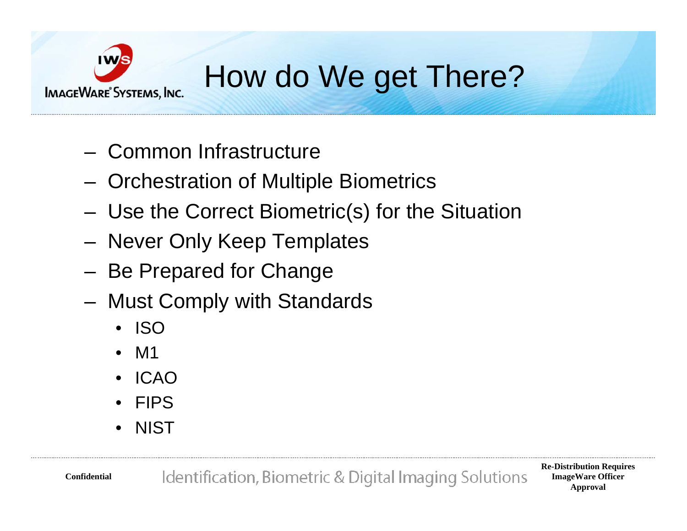

# How do We get There?

- Common Infrastructure
- **Links of the Company** - Orchestration of Multiple Biometrics
- **Links of the Company** Use the Correct Biometric(s) for the Situation
- **Links of the Company** - Never Only Keep Templates
- **Links of the Company** – Be Prepared for Change
- **Links of the Company**  Must Comply with Standards
	- ISO
	- •M1
	- •ICAO
	- •FIPS
	- •**NIST**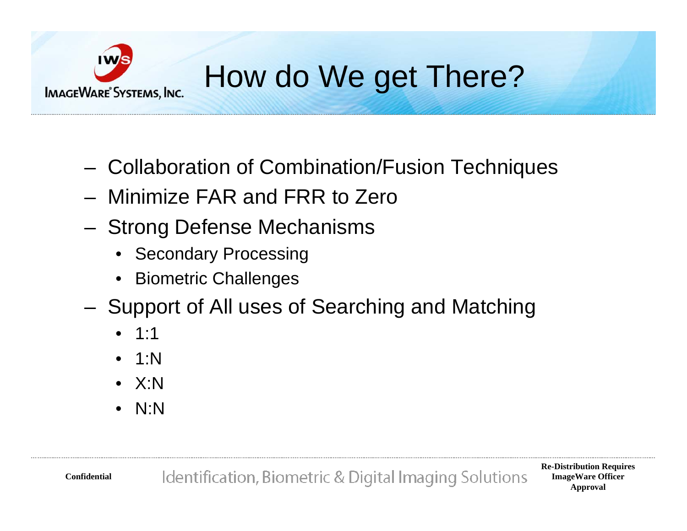

# How do We get There?

- **Links of the Company** Collaboration of Combination/Fusion Techniques
- Minimize FAR and FRR to Zero
- **Links of the Company** - Strong Defense Mechanisms
	- Secondary Processing
	- Biometric Challenges
- and the state of the – Support of All uses of Searching and Matching
	- 1:1
	- 1:N
	- X:N
	- N:N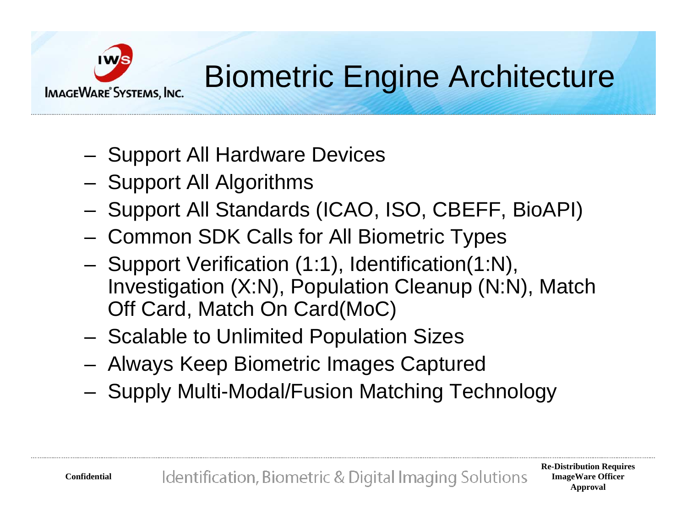

### Biometric Engine Architecture

- –- Support All Hardware Devices
- **Links of the Company**  $-$  Support All Algorithms
- and the state of the - Support All Standards (ICAO, ISO, CBEFF, BioAPI)
- –- Common SDK Calls for All Biometric Types
- **Links of the Company** - Support Verification (1:1), Identification(1:N), Investigation (X:N), Population Cleanup (N:N), Match Off Card, Match On Card(MoC)
- and the state of the - Scalable to Unlimited Population Sizes
- –Always Keep Biometric Images Captured
- **Links of the Company**  $-$  Supply Multi-Modal/Fusion Matching Technology